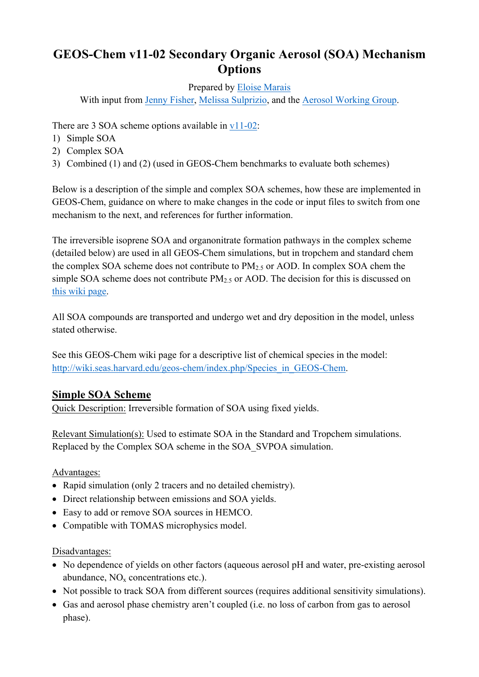# **GEOS-Chem v11-02 Secondary Organic Aerosol (SOA) Mechanism Options**

Prepared by Eloise Marais

With input from Jenny Fisher, Melissa Sulprizio, and the Aerosol Working Group.

There are 3 SOA scheme options available in v11-02:

- 1) Simple SOA
- 2) Complex SOA
- 3) Combined (1) and (2) (used in GEOS-Chem benchmarks to evaluate both schemes)

Below is a description of the simple and complex SOA schemes, how these are implemented in GEOS-Chem, guidance on where to make changes in the code or input files to switch from one mechanism to the next, and references for further information.

The irreversible isoprene SOA and organonitrate formation pathways in the complex scheme (detailed below) are used in all GEOS-Chem simulations, but in tropchem and standard chem the complex SOA scheme does not contribute to  $PM<sub>2.5</sub>$  or AOD. In complex SOA chem the simple SOA scheme does not contribute  $PM<sub>2.5</sub>$  or AOD. The decision for this is discussed on this wiki page.

All SOA compounds are transported and undergo wet and dry deposition in the model, unless stated otherwise.

See this GEOS-Chem wiki page for a descriptive list of chemical species in the model: http://wiki.seas.harvard.edu/geos-chem/index.php/Species\_in\_GEOS-Chem.

# **Simple SOA Scheme**

Quick Description: Irreversible formation of SOA using fixed yields.

Relevant Simulation(s): Used to estimate SOA in the Standard and Tropchem simulations. Replaced by the Complex SOA scheme in the SOA\_SVPOA simulation.

Advantages:

- Rapid simulation (only 2 tracers and no detailed chemistry).
- Direct relationship between emissions and SOA yields.
- Easy to add or remove SOA sources in HEMCO.
- Compatible with TOMAS microphysics model.

Disadvantages:

- No dependence of yields on other factors (aqueous aerosol pH and water, pre-existing aerosol abundance,  $NO<sub>x</sub>$  concentrations etc.).
- Not possible to track SOA from different sources (requires additional sensitivity simulations).
- Gas and aerosol phase chemistry aren't coupled (i.e. no loss of carbon from gas to aerosol phase).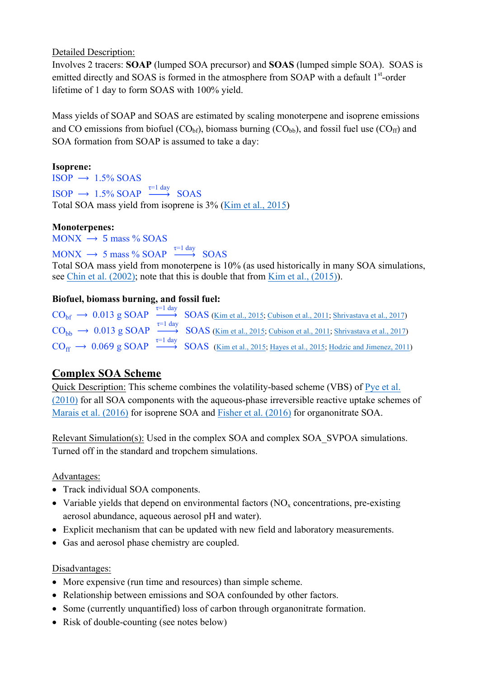Detailed Description:

Involves 2 tracers: **SOAP** (lumped SOA precursor) and **SOAS** (lumped simple SOA). SOAS is emitted directly and SOAS is formed in the atmosphere from SOAP with a default 1<sup>st</sup>-order lifetime of 1 day to form SOAS with 100% yield.

Mass yields of SOAP and SOAS are estimated by scaling monoterpene and isoprene emissions and CO emissions from biofuel  $(CO_{bf})$ , biomass burning  $(CO_{bb})$ , and fossil fuel use  $(CO_{ff})$  and SOA formation from SOAP is assumed to take a day:

### **Isoprene:**

 $ISOP \rightarrow 1.5\% SOAS$  $ISOP \rightarrow 1.5\% SOAP \xrightarrow{\tau=1 \text{ day}} SOAS$ Total SOA mass yield from isoprene is 3% (Kim et al., 2015)

#### **Monoterpenes:**

 $MONX \rightarrow 5$  mass % SOAS

 $MONX \rightarrow 5$  mass % SOAP  $\xrightarrow{\tau=1 \text{ day}}$  SOAS

Total SOA mass yield from monoterpene is 10% (as used historically in many SOA simulations, see Chin et al. (2002); note that this is double that from Kim et al., (2015)).

### **Biofuel, biomass burning, and fossil fuel:**

```
\text{CO}_{\text{bf}} \rightarrow 0.013 \text{ g SOAP} \xrightarrow{\tau=1 \text{ day}} \text{SOAS (Kim et al., 2015; Cubison et al., 2011; Shrivastava et al., 2017)}\text{CO}_{\text{bb}} \rightarrow 0.013 \text{ g SOAP} \xrightarrow{\tau=1 \text{ day}} \text{SOAS (Kim et al., 2015; Cubison et al., 2011; Shrivastava et al., 2017)}\text{CO}_{\text{ff}} \rightarrow 0.069 \text{ g SOAP} \xrightarrow{\tau=1 \text{ day}} \text{SOAS} (Kim et al., 2015; Hayes et al., 2015; Hodzic and Jimenez, 2011)
```
# **Complex SOA Scheme**

Quick Description: This scheme combines the volatility-based scheme (VBS) of Pye et al. (2010) for all SOA components with the aqueous-phase irreversible reactive uptake schemes of Marais et al. (2016) for isoprene SOA and Fisher et al. (2016) for organonitrate SOA.

Relevant Simulation(s): Used in the complex SOA and complex SOA\_SVPOA simulations. Turned off in the standard and tropchem simulations.

Advantages:

- Track individual SOA components.
- Variable yields that depend on environmental factors  $(NO<sub>x</sub>$  concentrations, pre-existing aerosol abundance, aqueous aerosol pH and water).
- Explicit mechanism that can be updated with new field and laboratory measurements.
- Gas and aerosol phase chemistry are coupled.

#### Disadvantages:

- More expensive (run time and resources) than simple scheme.
- Relationship between emissions and SOA confounded by other factors.
- Some (currently unquantified) loss of carbon through organonitrate formation.
- Risk of double-counting (see notes below)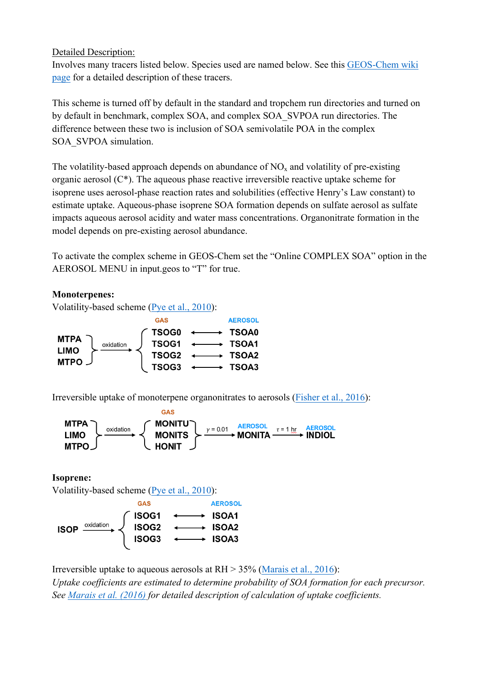#### Detailed Description:

Involves many tracers listed below. Species used are named below. See this GEOS-Chem wiki page for a detailed description of these tracers.

This scheme is turned off by default in the standard and tropchem run directories and turned on by default in benchmark, complex SOA, and complex SOA\_SVPOA run directories. The difference between these two is inclusion of SOA semivolatile POA in the complex SOA\_SVPOA simulation.

The volatility-based approach depends on abundance of  $NO<sub>x</sub>$  and volatility of pre-existing organic aerosol (C\*). The aqueous phase reactive irreversible reactive uptake scheme for isoprene uses aerosol-phase reaction rates and solubilities (effective Henry's Law constant) to estimate uptake. Aqueous-phase isoprene SOA formation depends on sulfate aerosol as sulfate impacts aqueous aerosol acidity and water mass concentrations. Organonitrate formation in the model depends on pre-existing aerosol abundance.

To activate the complex scheme in GEOS-Chem set the "Online COMPLEX SOA" option in the AEROSOL MENU in input.geos to "T" for true.

#### **Monoterpenes:**

Volatility-based scheme (Pye et al., 2010):



Irreversible uptake of monoterpene organonitrates to aerosols (Fisher et al., 2016):



**Isoprene:**

Volatility-based scheme (Pye et al., 2010):



Irreversible uptake to aqueous aerosols at RH > 35% (Marais et al., 2016):

*Uptake coefficients are estimated to determine probability of SOA formation for each precursor. See Marais et al. (2016) for detailed description of calculation of uptake coefficients.*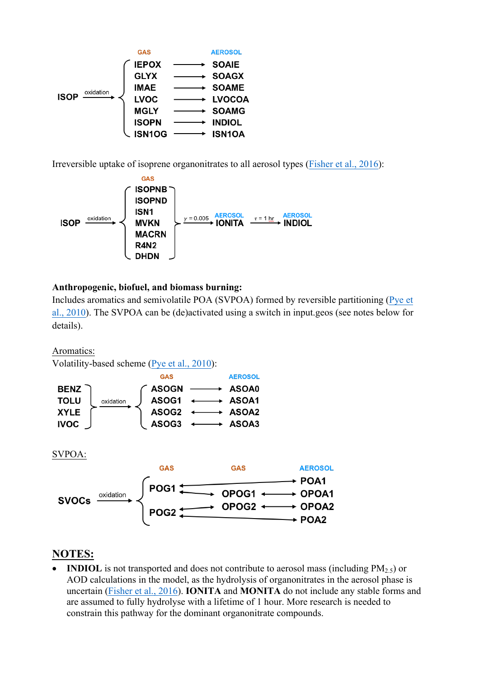

Irreversible uptake of isoprene organonitrates to all aerosol types (Fisher et al., 2016):



#### **Anthropogenic, biofuel, and biomass burning:**

Includes aromatics and semivolatile POA (SVPOA) formed by reversible partitioning (Pye et al., 2010). The SVPOA can be (de)activated using a switch in input.geos (see notes below for details).

Aromatics:

Volatility-based scheme (Pye et al., 2010):



## **NOTES:**

**INDIOL** is not transported and does not contribute to aerosol mass (including  $PM<sub>2</sub>$ ) or AOD calculations in the model, as the hydrolysis of organonitrates in the aerosol phase is uncertain (Fisher et al., 2016). **IONITA** and **MONITA** do not include any stable forms and are assumed to fully hydrolyse with a lifetime of 1 hour. More research is needed to constrain this pathway for the dominant organonitrate compounds.